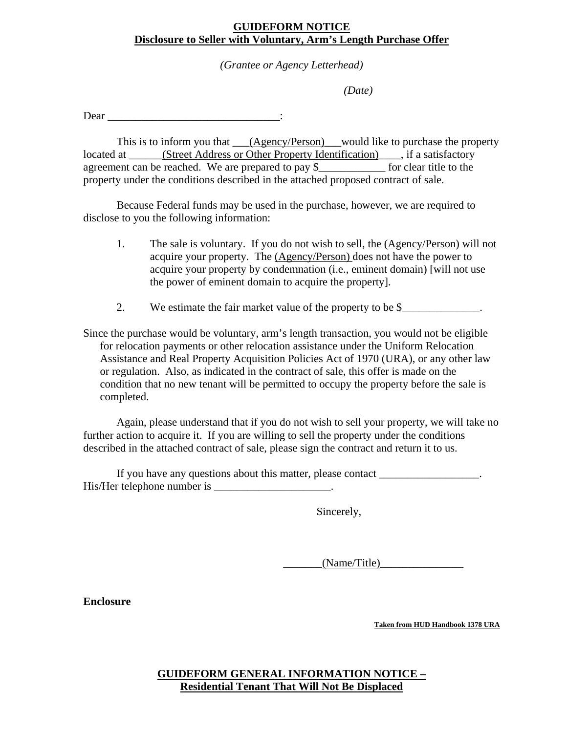## **GUIDEFORM NOTICE Disclosure to Seller with Voluntary, Arm's Length Purchase Offer**

*(Grantee or Agency Letterhead)* 

*(Date)* 

Dear  $\qquad \qquad \vdots$ 

This is to inform you that <u>(Agency/Person)</u> would like to purchase the property located at \_\_\_\_\_\_(Street Address or Other Property Identification)\_\_\_\_, if a satisfactory agreement can be reached. We are prepared to pay \$\_\_\_\_\_\_\_\_\_\_\_\_ for clear title to the property under the conditions described in the attached proposed contract of sale.

 Because Federal funds may be used in the purchase, however, we are required to disclose to you the following information:

- 1. The sale is voluntary. If you do not wish to sell, the (Agency/Person) will not acquire your property. The (Agency/Person) does not have the power to acquire your property by condemnation (i.e., eminent domain) [will not use the power of eminent domain to acquire the property].
- 2. We estimate the fair market value of the property to be \$

Since the purchase would be voluntary, arm's length transaction, you would not be eligible for relocation payments or other relocation assistance under the Uniform Relocation Assistance and Real Property Acquisition Policies Act of 1970 (URA), or any other law or regulation. Also, as indicated in the contract of sale, this offer is made on the condition that no new tenant will be permitted to occupy the property before the sale is completed.

Again, please understand that if you do not wish to sell your property, we will take no further action to acquire it. If you are willing to sell the property under the conditions described in the attached contract of sale, please sign the contract and return it to us.

If you have any questions about this matter, please contact \_\_\_\_\_\_\_\_\_\_\_\_\_\_\_\_. His/Her telephone number is \_\_\_\_\_\_\_\_\_\_\_\_\_\_\_\_\_\_\_\_\_.

Sincerely,

 $(Name/Title)$ 

**Enclosure** 

**Taken from HUD Handbook 1378 URA**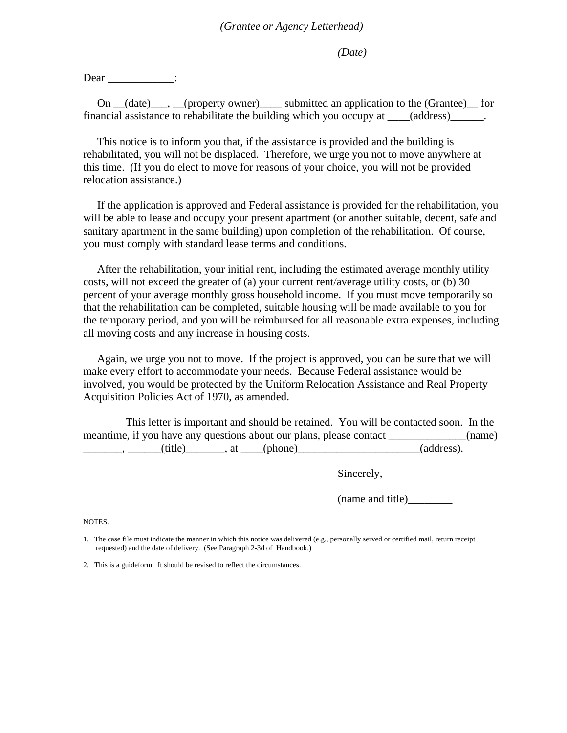*(Date)* 

Dear :

On (date), (property owner) submitted an application to the (Grantee) for financial assistance to rehabilitate the building which you occupy at \_\_\_\_(address)\_\_\_\_\_\_.

 This notice is to inform you that, if the assistance is provided and the building is rehabilitated, you will not be displaced. Therefore, we urge you not to move anywhere at this time. (If you do elect to move for reasons of your choice, you will not be provided relocation assistance.)

 If the application is approved and Federal assistance is provided for the rehabilitation, you will be able to lease and occupy your present apartment (or another suitable, decent, safe and sanitary apartment in the same building) upon completion of the rehabilitation. Of course, you must comply with standard lease terms and conditions.

 After the rehabilitation, your initial rent, including the estimated average monthly utility costs, will not exceed the greater of (a) your current rent/average utility costs, or (b) 30 percent of your average monthly gross household income. If you must move temporarily so that the rehabilitation can be completed, suitable housing will be made available to you for the temporary period, and you will be reimbursed for all reasonable extra expenses, including all moving costs and any increase in housing costs.

 Again, we urge you not to move. If the project is approved, you can be sure that we will make every effort to accommodate your needs. Because Federal assistance would be involved, you would be protected by the Uniform Relocation Assistance and Real Property Acquisition Policies Act of 1970, as amended.

 This letter is important and should be retained. You will be contacted soon. In the meantime, if you have any questions about our plans, please contact \_\_\_\_\_\_\_\_\_\_\_\_(name)  $\ldots$ ,  $\ldots$  (title), at (phone) (address).

Sincerely,

(name and title)\_\_\_\_\_\_\_\_

NOTES.

1. The case file must indicate the manner in which this notice was delivered (e.g., personally served or certified mail, return receipt requested) and the date of delivery. (See Paragraph 2-3d of Handbook.)

2. This is a guideform. It should be revised to reflect the circumstances.